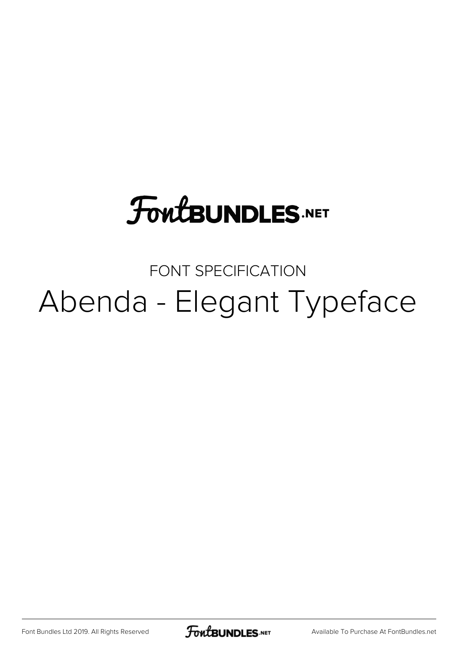# **FoutBUNDLES.NET**

### FONT SPECIFICATION Abenda - Elegant Typeface

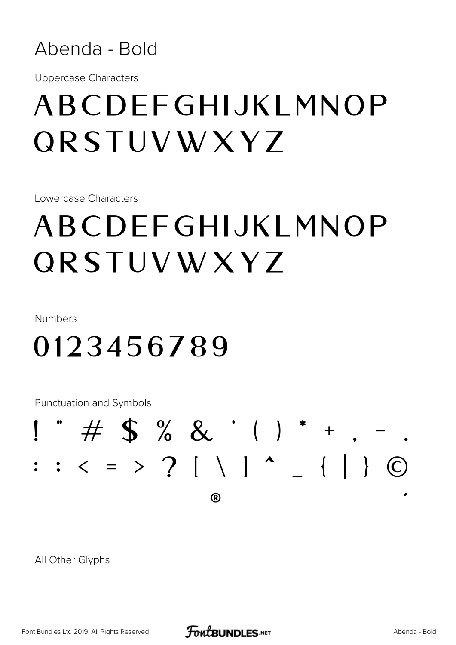

**Uppercase Characters** 

## ABCDFFGHIJKI MNOP QRSTUVWXYZ

Lowercase Characters

## ABCDFFGHIJKI MNOP QRSTUVWXYZ

Numbers

### 0123456789

**Punctuation and Symbols** 

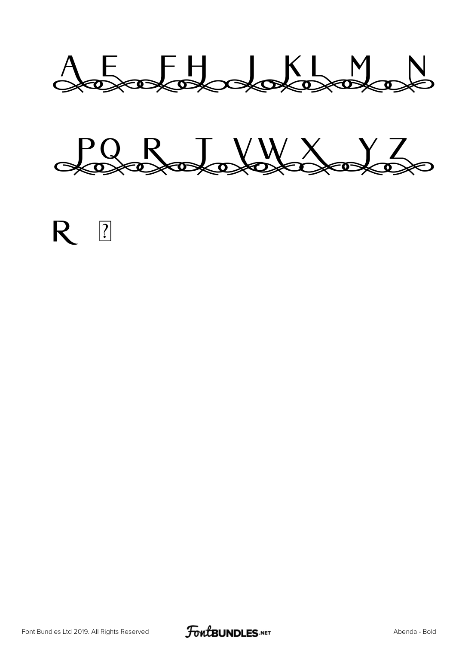







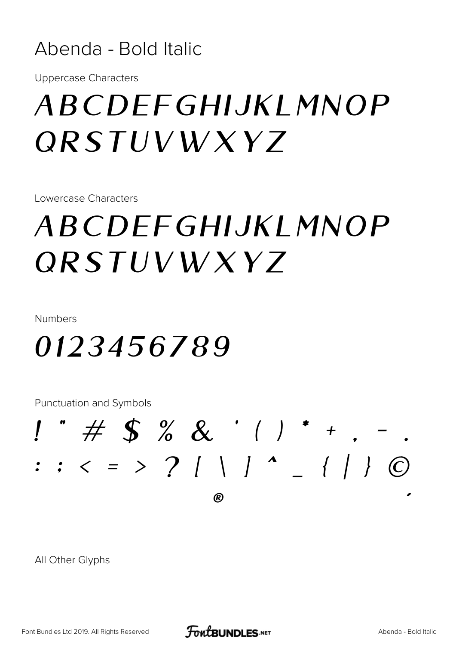#### Abenda - Bold Italic

**Uppercase Characters** 

## ABCDFFGHIJKI MNOP *QRSTUVWXYZ*

Lowercase Characters

## *ABCDFFGHIJKI MNOP ORSTUVWXY7*

Numbers

### 0123456789

**Punctuation and Symbols** 

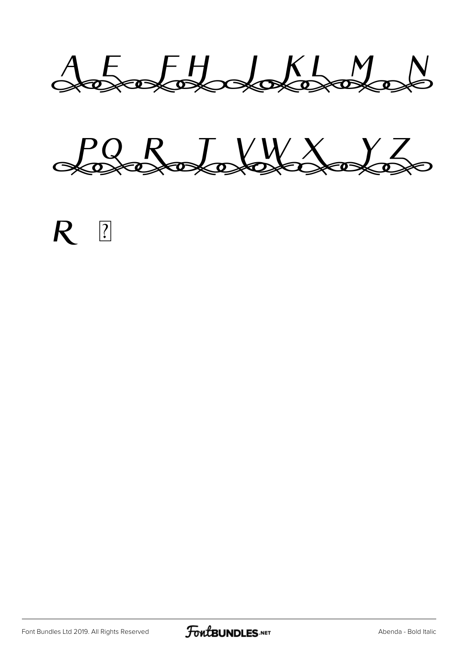AEFH XWW

PORTAWANT





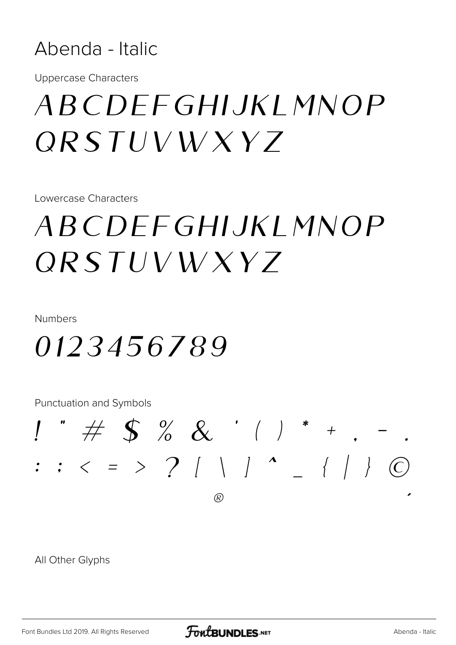#### Abenda - Italic

**Uppercase Characters** 

## *ABCDEEGHIJKI MNOP*  $ORSTUVWXYZ$

Lowercase Characters

## *ABCDEEGHIJKI MNOP*  $ORSTUVWXYZ$

Numbers

### 0123456789

**Punctuation and Symbols** 

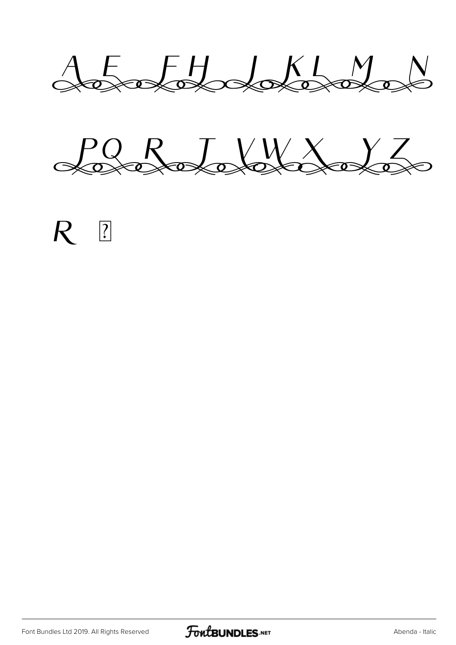AEFHJKLMN

PORTAWANT





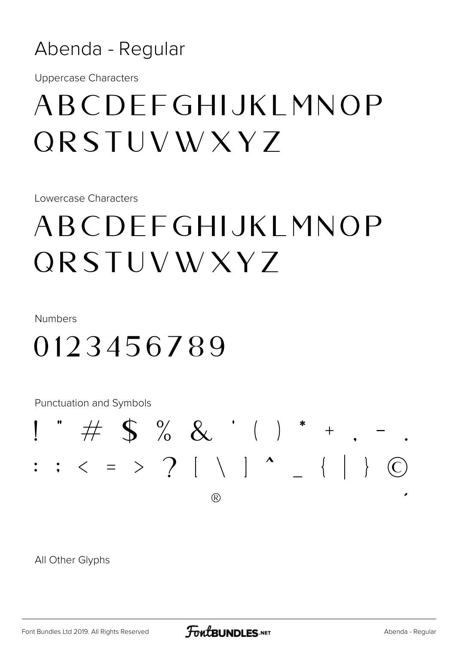#### Abenda - Regular

**Uppercase Characters** 

## ABCDEEGHIJKI MNOP **QRSTUVWXYZ**

Lowercase Characters

## ABCDEEGHIJKI MNOP  $ORSTUVWXY7$

Numbers

## 0123456789

**Punctuation and Symbols**